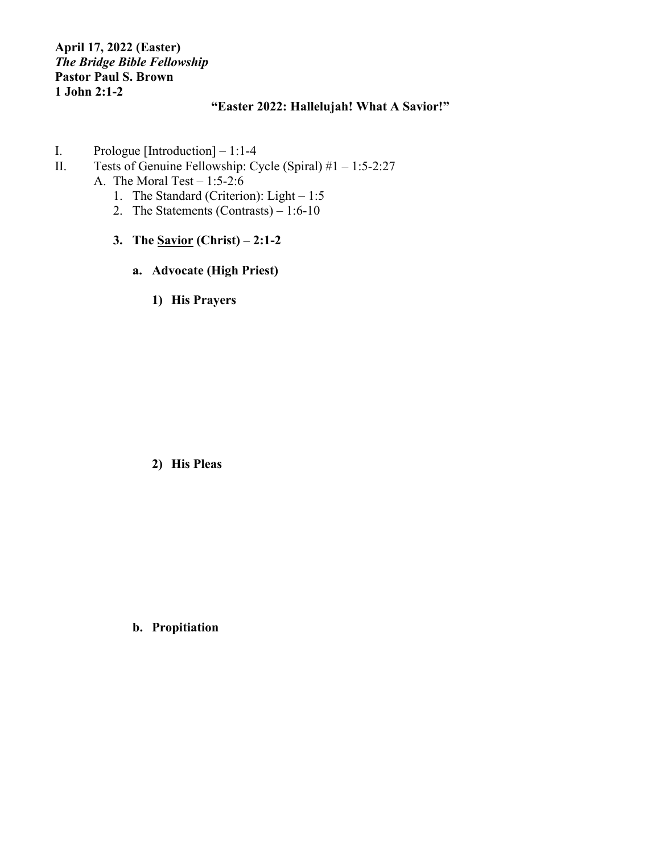## **April 17, 2022 (Easter)** *The Bridge Bible Fellowship* **Pastor Paul S. Brown 1 John 2:1-2**

## **"Easter 2022: Hallelujah! What A Savior!"**

- I. Prologue [Introduction] 1:1-4
- II. Tests of Genuine Fellowship: Cycle (Spiral)  $#1 1:5-2:27$ 
	- A. The Moral Test  $-1:5-2:6$ 
		- 1. The Standard (Criterion): Light 1:5
		- 2. The Statements (Contrasts)  $-1:6-10$
		- **3. The Savior (Christ) – 2:1-2**
			- **a. Advocate (High Priest)**
				- **1) His Prayers**

**2) His Pleas**

**b. Propitiation**